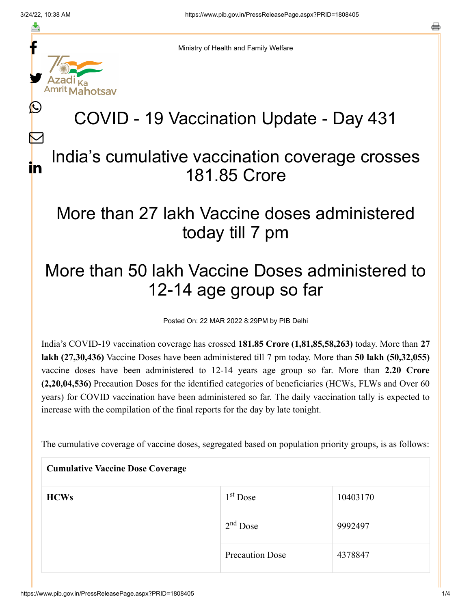f

≛

y.

lahotsav

L

 $\bm{\nabla}$ 

in

o

Ministry of Health and Family Welfare

## COVID - 19 Vaccination Update - Day 431

## India's cumulative vaccination coverage crosses 181.85 Crore

## More than 27 lakh Vaccine doses administered today till 7 pm

## More than 50 lakh Vaccine Doses administered to 12-14 age group so far

Posted On: 22 MAR 2022 8:29PM by PIB Delhi

India's COVID-19 vaccination coverage has crossed **181.85 Crore (1,81,85,58,263)** today. More than **27 lakh (27,30,436)** Vaccine Doses have been administered till 7 pm today. More than **50 lakh (50,32,055)** vaccine doses have been administered to 12-14 years age group so far. More than **2.20 Crore (2,20,04,536)** Precaution Doses for the identified categories of beneficiaries (HCWs, FLWs and Over 60 years) for COVID vaccination have been administered so far. The daily vaccination tally is expected to increase with the compilation of the final reports for the day by late tonight.

The cumulative coverage of vaccine doses, segregated based on population priority groups, is as follows:

| <b>Cumulative Vaccine Dose Coverage</b> |                        |          |  |
|-----------------------------------------|------------------------|----------|--|
| <b>HCWs</b>                             | $1st$ Dose             | 10403170 |  |
|                                         | $2nd$ Dose             | 9992497  |  |
|                                         | <b>Precaution Dose</b> | 4378847  |  |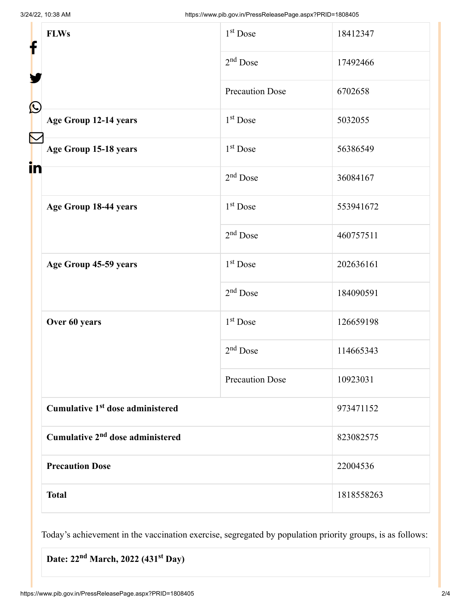| f            | <b>FLWs</b>                                  | $1st$ Dose             | 18412347   |
|--------------|----------------------------------------------|------------------------|------------|
|              |                                              | $2nd$ Dose             | 17492466   |
| $\bf \Omega$ |                                              | <b>Precaution Dose</b> | 6702658    |
|              | Age Group 12-14 years                        | $1st$ Dose             | 5032055    |
|              | Age Group 15-18 years                        | $1st$ Dose             | 56386549   |
| in           |                                              | $2nd$ Dose             | 36084167   |
|              | Age Group 18-44 years                        | $1st$ Dose             | 553941672  |
|              |                                              | $2nd$ Dose             | 460757511  |
|              | Age Group 45-59 years                        | 1 <sup>st</sup> Dose   | 202636161  |
|              |                                              | $2nd$ Dose             | 184090591  |
|              | Over 60 years                                | $1st$ Dose             | 126659198  |
|              |                                              | $2nd$ Dose             | 114665343  |
|              |                                              | <b>Precaution Dose</b> | 10923031   |
|              | Cumulative 1 <sup>st</sup> dose administered |                        | 973471152  |
|              | Cumulative 2 <sup>nd</sup> dose administered |                        | 823082575  |
|              | <b>Precaution Dose</b>                       |                        | 22004536   |
|              | <b>Total</b>                                 |                        | 1818558263 |

Today's achievement in the vaccination exercise, segregated by population priority groups, is as follows:

Date: 22<sup>nd</sup> March, 2022 (431<sup>st</sup> Day)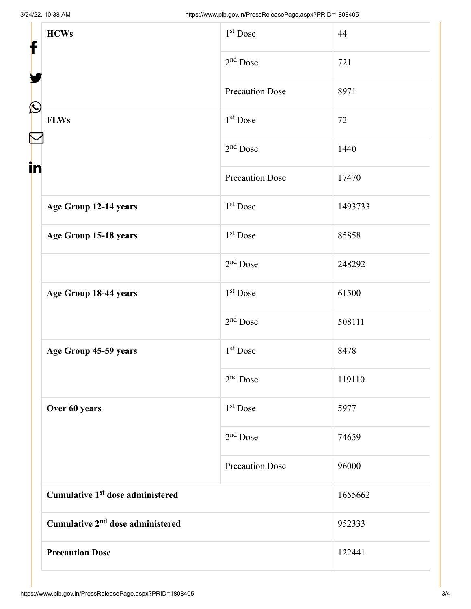| f<br>$\bf \Omega$      | <b>HCWs</b>                                  | 1 <sup>st</sup> Dose   | 44      |
|------------------------|----------------------------------------------|------------------------|---------|
|                        |                                              | $2nd$ Dose             | 721     |
|                        |                                              | <b>Precaution Dose</b> | 8971    |
|                        | <b>FLWs</b>                                  | $1st$ Dose             | 72      |
| in                     |                                              | $2nd$ Dose             | 1440    |
|                        |                                              | <b>Precaution Dose</b> | 17470   |
|                        | Age Group 12-14 years                        | $1st$ Dose             | 1493733 |
|                        | Age Group 15-18 years                        | 1 <sup>st</sup> Dose   | 85858   |
|                        |                                              | $2nd$ Dose             | 248292  |
|                        | Age Group 18-44 years                        | 1 <sup>st</sup> Dose   | 61500   |
|                        |                                              | $2nd$ Dose             | 508111  |
|                        | Age Group 45-59 years                        | 1 <sup>st</sup> Dose   | 8478    |
|                        |                                              | $2nd$ Dose             | 119110  |
|                        | Over 60 years                                | 1 <sup>st</sup> Dose   | 5977    |
|                        |                                              | $2nd$ Dose             | 74659   |
|                        |                                              | <b>Precaution Dose</b> | 96000   |
|                        | Cumulative 1 <sup>st</sup> dose administered |                        | 1655662 |
|                        | Cumulative 2 <sup>nd</sup> dose administered |                        | 952333  |
| <b>Precaution Dose</b> |                                              |                        | 122441  |